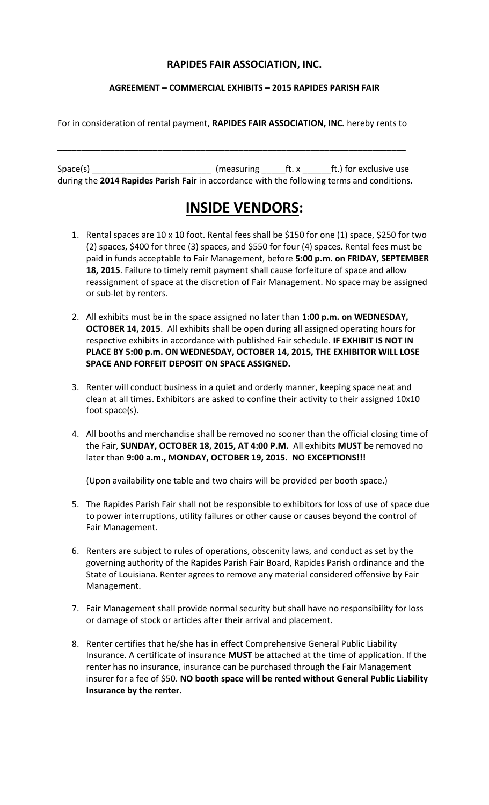### **RAPIDES FAIR ASSOCIATION, INC.**

#### **AGREEMENT – COMMERCIAL EXHIBITS – 2015 RAPIDES PARISH FAIR**

For in consideration of rental payment, **RAPIDES FAIR ASSOCIATION, INC.** hereby rents to

\_\_\_\_\_\_\_\_\_\_\_\_\_\_\_\_\_\_\_\_\_\_\_\_\_\_\_\_\_\_\_\_\_\_\_\_\_\_\_\_\_\_\_\_\_\_\_\_\_\_\_\_\_\_\_\_\_\_\_\_\_\_\_\_\_\_\_\_\_\_\_\_\_

 $Space(s)$  \_\_\_\_\_\_\_\_\_\_\_\_\_\_\_\_\_\_\_\_\_\_\_\_\_\_\_ (measuring \_\_\_\_\_\_ft. x  $\qquad$  ft.) for exclusive use during the **2014 Rapides Parish Fair** in accordance with the following terms and conditions.

# **INSIDE VENDORS:**

- 1. Rental spaces are 10 x 10 foot. Rental fees shall be \$150 for one (1) space, \$250 for two (2) spaces, \$400 for three (3) spaces, and \$550 for four (4) spaces. Rental fees must be paid in funds acceptable to Fair Management, before **5:00 p.m. on FRIDAY, SEPTEMBER 18, 2015**. Failure to timely remit payment shall cause forfeiture of space and allow reassignment of space at the discretion of Fair Management. No space may be assigned or sub-let by renters.
- 2. All exhibits must be in the space assigned no later than **1:00 p.m. on WEDNESDAY, OCTOBER 14, 2015**. All exhibits shall be open during all assigned operating hours for respective exhibits in accordance with published Fair schedule. **IF EXHIBIT IS NOT IN PLACE BY 5:00 p.m. ON WEDNESDAY, OCTOBER 14, 2015, THE EXHIBITOR WILL LOSE SPACE AND FORFEIT DEPOSIT ON SPACE ASSIGNED.**
- 3. Renter will conduct business in a quiet and orderly manner, keeping space neat and clean at all times. Exhibitors are asked to confine their activity to their assigned 10x10 foot space(s).
- 4. All booths and merchandise shall be removed no sooner than the official closing time of the Fair, **SUNDAY, OCTOBER 18, 2015, AT 4:00 P.M.** All exhibits **MUST** be removed no later than **9:00 a.m., MONDAY, OCTOBER 19, 2015. NO EXCEPTIONS!!!**

(Upon availability one table and two chairs will be provided per booth space.)

- 5. The Rapides Parish Fair shall not be responsible to exhibitors for loss of use of space due to power interruptions, utility failures or other cause or causes beyond the control of Fair Management.
- 6. Renters are subject to rules of operations, obscenity laws, and conduct as set by the governing authority of the Rapides Parish Fair Board, Rapides Parish ordinance and the State of Louisiana. Renter agrees to remove any material considered offensive by Fair Management.
- 7. Fair Management shall provide normal security but shall have no responsibility for loss or damage of stock or articles after their arrival and placement.
- 8. Renter certifies that he/she has in effect Comprehensive General Public Liability Insurance. A certificate of insurance **MUST** be attached at the time of application. If the renter has no insurance, insurance can be purchased through the Fair Management insurer for a fee of \$50. **NO booth space will be rented without General Public Liability Insurance by the renter.**